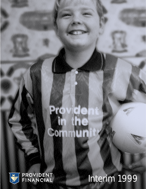

# Interim 1999

à

UI

T

Ä

**ACL**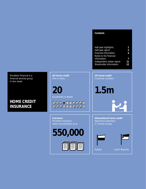#### **Contents**

| Half-year highlights<br>Half-year report<br>Financial information<br>Notes to the financial | 1<br>$\overline{\mathbf{c}}$<br>$\boldsymbol{\Lambda}$ |
|---------------------------------------------------------------------------------------------|--------------------------------------------------------|
| information                                                                                 |                                                        |
| Independent review report<br>Shareholder information                                        | 11<br>12                                               |

Provident Financial is a financial services group in two areas:

## **HOME CREDIT INSURANCE**

**UK home credit**

**20** households in Britain

## 

**Insurance** motor policyholders up to

**550,000**



**UK home credit**

**1.5m**

**International home credit**  Significant expansion in Central Europe

| Poland | <b>Czech Republic</b> |
|--------|-----------------------|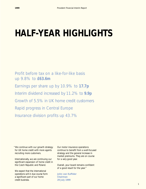## **HALF-YEAR HIGHLIGHTS**

Profit before tax on a like-for-like basis up 9.8% to **£63.6m** Earnings per share up by 10.9% to **17.7p** Interim dividend increased by 11.2% to **9.9p** Growth of 5.5% in UK home credit customers Rapid progress in Central Europe Insurance division profits up 43.7%

"We continue with our growth strategy for UK home credit with more agents recruiting more customers.

Internationally, we are continuing our significant expansion of home credit in the Czech Republic and Poland.

We expect that the international operations will in due course form a significant part of our home credit business.

Our motor insurance operations continue to benefit from a well-focused strategy and the general increase in market premiums. They are on course for a very good year.

Overall, your board remains confident of a good result for the year."

**John van Kuffeler Chairman 29 July 1999**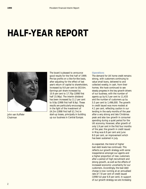## **HALF-YEAR REPORT**



John van Kuffeler Chairman

The board is pleased to announce good results for the first half of 1999. Pre-tax profits on a like-for-like basis, after adjusting for the effect of last year's return of capital to shareholders, increased by 9.8 per cent to £63.6m. Earnings per share increased by 10.9 per cent to 17.70p (1998 first half 15.96p). The interim dividend has been increased by 11.2 per cent to 9.9p (1998 first half 8.9p). These results are particularly encouraging in the light of the investment of £4.2m (1998 first half £1.7m) in start-up losses, principally in building up our business in Central Europe.

#### **Operations**

The demand for UK home credit remains strong, with customers continuing to value small loans, delivered to and collected weekly, in cash, from their homes. We have continued to see steady progress in the key growth drivers of our business, with the number of agents up by 6.3 per cent to 11,433 and the number of customers up by 5.5 per cent to 1,496,000. The growth in credit issued was more modest at 4.1 per cent, reflecting caution in our lending in the early months of the year after a very strong and late Christmas peak and also low growth in consumer spending during a quiet period for the UK economy. However, after growth of only 1.9 per cent in the first four months of the year, the growth in credit issued in May was 6.9 per cent and June 8.0 per cent, an improvement which has been sustained in July.

As expected, the trend of higher bad debt levels has continued. This reflects our growth strategy with some inexperience amongst our agents and a higher proportion of new customers after a period of high recruitment and strong growth, as well as the effects of increased economic uncertainty for our customers. Accordingly, the bad debt charge is now running at an annualised rate of 7.8 per cent of credit issued (1998 full year 6.9 per cent). In support of our growth strategy we are increasing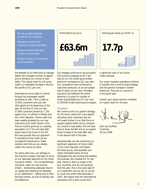We are successful because we care for our customers.

Because we care for our customers, we lend responsibly.

Because we lend responsibly, we get our money back.

Because we get our money back, we are successful.

the strength of our field force to manage better the increased number of agents and to enhance our control of bad debts. The overall result for UK home credit is a creditable increase in like-forlike profits of 8.1 per cent.

International home credit in Central Europe has progressed rapidly according to plan. From a base of 15,000 customers and just over 400 agents at the beginning of the year, at the end of June we had 57,000 customers served by 1,730 agents from 15 offices in Poland and the Czech Republic. Home credit has been readily accepted by our new customers with credit issued in the first six months growing to a sterling equivalent of £7.5m and bad debt levels lower than those in the UK. We have proved that our approach to providing home credit can be successfully introduced in these markets and that we can reliably collect the money we lend.

For some years now, our strategy in the insurance division has been to focus on our specialist segments of the motor insurance market – non-comprehensive insurance, older cars and women drivers – maintaining adequate returns on capital and retaining the flexibility of our distribution – selling face-to-face through brokers, as well as directly over the telephone.

Profit before tax up to **£63.6m** an man man முயம்மா

Our strategy continues to be successful with profits increasing by 43.7 per cent to £11.5m whilst gross written premiums increased by 28.3 per cent. Our competitors have continued to raise their premiums, at an annualised rate of about 15 per cent. Provident Insurance has followed this trend, allowing it to grow its number of motor policyholders by 10.7 per cent to 550,000 whilst improving its margins.

#### **Prospects**

We continue with our growth strategy for UK home credit with more agents recruiting more customers and we will invest further in our field force to support agents better and to enhance our control of bad debts. This will take time to show benefit and so we expect some increase in the bad debt ratio in the second half of the year.

Internationally, we are continuing our significant expansion of home credit in the Czech Republic and Poland. We have young, well-qualified and highly motivated teams of local employees who are running and building the business. We invested £4.7m last year, mainly in start-up losses in the two countries, and we are doubling that this year. This is the peak year of our investment and we are on course to move into profit internationally in 2002. We expect that the international operations will in due course form



a significant part of our home credit business.

Our motor insurance operations continue to benefit from a well-focused strategy and the general increase in market premiums. They are on course for a very good year.

Overall, your board remains confident of a good result for the year.

John van Kuffeler Chairman 29 July 1999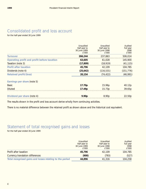## Consolidated profit and loss account

for the half-year ended 30 June 1999

|                                             | Unaudited<br>Half-year to<br>30 June 1999 | Unaudited<br>Half-year to<br>30 June 1998 | Audited<br>Full year<br>1998 |
|---------------------------------------------|-------------------------------------------|-------------------------------------------|------------------------------|
| <b>Turnover</b>                             | f'000<br>266,244                          | £'000<br>237.863                          | £'000<br>506,014             |
| Operating profit and profit before taxation | 63,605                                    | 61.028                                    | 145,900                      |
| Taxation (note 3)                           | (17, 809)                                 | (18, 919)                                 | (41, 115)                    |
| <b>Profit after taxation</b>                | 45,796                                    | 42.109                                    | 104,785                      |
| Dividends (note 4)                          | (25, 642)                                 | (116, 531)                                | (151, 776)                   |
| <b>Retained profit/(loss)</b>               | 20,154                                    | (74, 422)                                 | (46,991)                     |
| Earnings per share (note 5)                 |                                           |                                           |                              |
| <b>Basic</b>                                | 17.70p                                    | 15.96p                                    | 40.12p                       |
| <b>Diluted</b>                              | 17.49p                                    | 15.73p                                    | 39.65p                       |
| Dividend per share (note 4)                 | 9.90 <sub>p</sub>                         | 8.90 <sub>p</sub>                         | 22.50p                       |

The results shown in the profit and loss account derive wholly from continuing activities.

There is no material difference between the retained profit as shown above and the historical cost equivalent.

## Statement of total recognised gains and losses

for the half-year ended 30 June 1999

|                                                          | <b>Unaudited</b><br>Half-year to<br>30 June 1999<br>£'000 | Unaudited<br>Half-year to<br>30 June 1998<br>£'000 | Audited<br>Full year<br>1998<br>£'000 |
|----------------------------------------------------------|-----------------------------------------------------------|----------------------------------------------------|---------------------------------------|
| Profit after taxation                                    | 45,796                                                    | 42.109                                             | 104,785                               |
| Currency translation differences                         | (900)                                                     | (793)                                              | (527)                                 |
| Total recognised gains and losses relating to the period | 44.896                                                    | 41,316                                             | 104,258                               |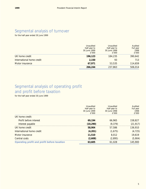## Segmental analysis of turnover

for the half-year ended 30 June 1999

|                           | Unaudited<br>Half-year to<br>30 June 1999<br>£'000 | Unaudited<br>Half-year to<br>30 June 1998<br>£'000 | Audited<br>Full year<br>1998<br>£'000 |
|---------------------------|----------------------------------------------------|----------------------------------------------------|---------------------------------------|
| UK home credit            | 196,123                                            | 184,235                                            | 390,642                               |
| International home credit | 2,150                                              | 93                                                 | 713                                   |
| Motor insurance           | 67.971                                             | 53,535                                             | 114,659                               |
|                           | 266,244                                            | 237,863                                            | 506,014                               |

## Segmental analysis of operating profit and profit before taxation

for the half-year ended 30 June 1999

|                                             | Unaudited<br>Half-year to<br>30 June 1999 | Unaudited<br>Half-year to<br>30 June 1998 | Audited<br>Full year<br>1998 |
|---------------------------------------------|-------------------------------------------|-------------------------------------------|------------------------------|
|                                             | £'000                                     | £'000                                     | E'000                        |
| UK home credit:                             |                                           |                                           |                              |
| Profit before interest                      | 69,194                                    | 66,965                                    | 158,827                      |
| Interest payable                            | (10, 290)                                 | (9.379)                                   | (21,917)                     |
| UK home credit                              | 58,904                                    | 57.586                                    | 136,910                      |
| International home credit                   | (4,201)                                   | (1,675)                                   | (4, 725)                     |
| Motor insurance                             | 11,510                                    | 8.012                                     | 19,619                       |
| Central costs                               | (2,608)                                   | (2,895)                                   | (5,904)                      |
| Operating profit and profit before taxation | 63,605                                    | 61.028                                    | 145,900                      |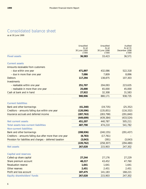## Consolidated balance sheet

as at 30 June 1999

|                                                           | Unaudited<br>As at<br>30 June 1999<br>£'000 | Unaudited<br>As at<br>30 June 1998<br>£'000 | Audited<br>As at 31<br>December 1998<br>£'000 |
|-----------------------------------------------------------|---------------------------------------------|---------------------------------------------|-----------------------------------------------|
| <b>Fixed assets</b>                                       | 36,583                                      | 33,423                                      | 36,571                                        |
| <b>Current assets</b>                                     |                                             |                                             |                                               |
| Amounts receivable from customers                         |                                             |                                             |                                               |
| - due within one year                                     | 471,897                                     | 432,086                                     | 522,318                                       |
| - due in more than one year                               | 7,086                                       | 7,809                                       | 8,896                                         |
| <b>Debtors</b>                                            | 117,294                                     | 138,875                                     | 107,303                                       |
| Investments                                               |                                             |                                             |                                               |
| - realisable within one year                              | 251,707                                     | 204,093                                     | 223,635                                       |
| - realisable in more than one year                        | 25,000                                      | 65,000                                      | 45,000                                        |
| Cash at bank and in hand                                  | 27,922                                      | 32,308                                      | 31,583                                        |
|                                                           | 900,906                                     | 880,171                                     | 938,735                                       |
| <b>Current liabilities</b>                                |                                             |                                             |                                               |
| Bank and other borrowings                                 | (41, 340)                                   | (19, 735)                                   | (25, 352)                                     |
| Creditors - amounts falling due within one year           | (120, 596)                                  | (135, 851)                                  | (116, 332)                                    |
| Insurance accruals and deferred income                    | (287, 763)                                  | (283, 798)                                  | (291, 840)                                    |
|                                                           | (449, 699)                                  | (439, 384)                                  | (433, 524)                                    |
| <b>Net current assets</b>                                 | 451,207                                     | 440,787                                     | 505,211                                       |
| <b>Total assets less current liabilities</b>              | 487,790                                     | 474,210                                     | 541,782                                       |
| <b>Non-current liabilities</b>                            |                                             |                                             |                                               |
| Bank and other borrowings                                 | (208, 936)                                  | (240, 155)                                  | (291, 437)                                    |
| Creditors - amounts falling due after more than one year  | (8, 783)                                    | (17, 761)                                   |                                               |
| Provision for liabilities and charges - deferred taxation | (3,043)                                     | (391)                                       | (3,043)                                       |
|                                                           | (220, 762)                                  | (258, 307)                                  | (294, 480)                                    |
| <b>Net assets</b>                                         | 267,028                                     | 215,903                                     | 247,302                                       |
| <b>Capital and reserves</b>                               |                                             |                                             |                                               |
| Called-up share capital                                   | 27,244                                      | 27,176                                      | 27,229                                        |
| Share premium account                                     | 48,217                                      | 43,452                                      | 47,760                                        |
| <b>Revaluation reserve</b>                                | 1,641                                       | 1,641                                       | 1,641                                         |
| Other reserves                                            | 2,451                                       | 2,451                                       | 2,451                                         |
| Profit and loss account                                   | 187,475                                     | 141,183                                     | 168,221                                       |
| <b>Equity shareholders' funds</b>                         | 267,028                                     | 215,903                                     | 247,302                                       |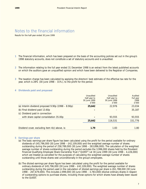## Notes to the financial information

Results for the half-year ended 30 June 1999

- **1** The financial information, which has been prepared on the basis of the accounting policies set out in the group's 1998 statutory accounts, does not constitute a set of statutory accounts and is unaudited.
- **2** The information relating to the full year ended 31 December 1998 is an extract from the latest published accounts on which the auditors gave an unqualified opinion and which have been delivered to the Registrar of Companies.
- **3** The taxation charge has been calculated by applying the directors' best estimate of the effective tax rate for the year, which is 28% (30 June 1998 – 31%), to the profit for the period.

#### **4 Dividends paid and proposed**

|                                                         | Unaudited<br>Half-year to<br>30 June 1999<br>£'000 | Unaudited<br>Half-year to<br>30 June 1998<br>f'000 | Audited<br>Full year<br>1998<br>£'000 |
|---------------------------------------------------------|----------------------------------------------------|----------------------------------------------------|---------------------------------------|
| (a) Interim dividend proposed $9.90p$ (1998 – $8.90p$ ) | 25,642                                             | 22,976                                             | 23,034                                |
| (b) Final dividend paid 13.60p                          |                                                    |                                                    | 35,187                                |
| (c) Dividend paid in connection                         |                                                    |                                                    |                                       |
| with share capital consolidation 35.00p                 |                                                    | 93,555                                             | 93,555                                |
|                                                         | 25,642                                             | 116,531                                            | 151,776                               |
| Dividend cover, excluding item 4(c) above, is:          | 1.79                                               | 1.83                                               | 1.80                                  |

#### **5 Earnings per share**

- (a) The basic earnings per share figure has been calculated using the profit for the period available for ordinary dividends of £45,796,000 (30 June 1998 – £42,109,000) and the weighted average number of shares outstanding during the period of 258,789,000 (30 June 1998 – 263,896,000). The calculation of the weighted average number of shares outstanding during the period excludes the 3,996,000 shares held by the Provident Financial Qualifying Employee Share Ownership Trust ("QUEST") at 30 June 1999 (30 June 1998 – 4,226,000) which are treated as cancelled for the purposes of calculating the weighted average number of shares outstanding until those shares vest unconditionally in the group's employees.
- (b) The diluted earnings per share figure has been calculated using the profit for the period available for ordinary dividends of £45,796,000 (30 June 1998 – £42,109,000). The weighted average number of shares outstanding during the period used in the calculation of diluted earnings per share is 261,788,000 (30 June 1998 – 267,679,000). This includes 2,999,000 (30 June 1998 – 3,783,000) dilutive ordinary shares in respect of outstanding options to purchase shares, including those options for which shares have already been issued to the QUEST.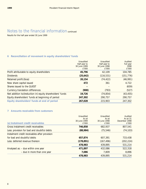## Notes to the financial information continued

Results for the half-year ended 30 June 1999

#### **6 Reconciliation of movement in equity shareholders' funds**

|                                                           | Unaudited<br>Half-year to<br>30 June 1999<br>f'000 | Unaudited<br>Half-year to<br>30 June 1998<br>£'000 | Audited<br>Full year<br>1998<br>£'000 |
|-----------------------------------------------------------|----------------------------------------------------|----------------------------------------------------|---------------------------------------|
| Profit attributable to equity shareholders                | 45,796                                             | 42.109                                             | 104,785                               |
| <b>Dividends</b>                                          | (25, 642)                                          | (116,531)                                          | (151, 776)                            |
| Retained profit /(loss)                                   | 20,154                                             | (74, 422)                                          | (46, 991)                             |
| New share capital issued                                  | 472                                                | 361                                                | 4.722                                 |
| Shares issued to the OUEST                                |                                                    |                                                    | (659)                                 |
| Currency translation differences                          | (900)                                              | (793)                                              | (527)                                 |
| Net addition to/(reduction in) equity shareholders' funds | 19.726                                             | (74.854)                                           | (43, 455)                             |
| Equity shareholders' funds at beginning of period         | 247,302                                            | 290,757                                            | 290.757                               |
| Equity shareholders' funds at end of period               | 267,028                                            | 215,903                                            | 247,302                               |

#### **7 Amounts receivable from customers**

|                                               | Unaudited<br>As at<br>30 June 1999 | Unaudited<br>As at<br>30 June 1998 | Audited<br>As at 31<br>December 1998 |
|-----------------------------------------------|------------------------------------|------------------------------------|--------------------------------------|
| (a) Instalment credit receivables             | £'000                              | £'000                              | £'000                                |
| Gross instalment credit receivables           | 746,858                            | 682,937                            | 807.541                              |
| Less: provision for bad and doubtful debts    | (88,984)                           | (75, 546)                          | (74, 103)                            |
| Instalment credit receivables after provision |                                    |                                    |                                      |
| for bad and doubtful debts                    | 657.874                            | 607.391                            | 733,438                              |
| Less: deferred revenue thereon                | (178, 891)                         | (167, 496)                         | (202, 224)                           |
|                                               | 478,983                            | 439.895                            | 531,214                              |
| Analysed as: - due within one year            | 471.897                            | 432,086                            | 522,318                              |
| - due in more than one year                   | 7.086                              | 7.809                              | 8.896                                |
|                                               | 478,983                            | 439.895                            | 531,214                              |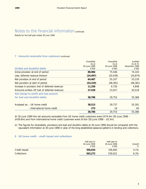## Notes to the financial information continued

Results for the half-year ended 30 June 1999

#### **7 Amounts receivable from customers** continued

| (b) Bad and doubtful debts                      | Unaudited<br>As at<br>30 June 1999<br>£'000 | Unaudited<br>As at<br>30 June 1998<br>£'000 | Audited<br>As at 31<br>December 1998<br>£'000 |
|-------------------------------------------------|---------------------------------------------|---------------------------------------------|-----------------------------------------------|
| Gross provision at end of period                | 88,984                                      | 75,546                                      | 74.103                                        |
| Less: deferred revenue thereon                  | (24, 497)                                   | (20, 439)                                   | (20, 874)                                     |
| Net provision at end of period                  | 64,487                                      | 55,107                                      | 53,229                                        |
| Net provision at start of period                | (53, 229)                                   | (48, 381)                                   | (48, 381)                                     |
| Increase in provision (net of deferred revenue) | 11,258                                      | 6,726                                       | 4,848                                         |
| Amounts written off (net of deferred revenue)   | 27,528                                      | 23,027                                      | 50,518                                        |
| Net charge to profit and loss account           |                                             |                                             |                                               |
| for bad and doubtful debts                      | 38,786                                      | 29,753                                      | 55,366                                        |
| Analysed as: - UK home credit                   | 38,513                                      | 29.737                                      | 55,301                                        |
| - International home credit                     | 273                                         | 16                                          | 65                                            |
|                                                 | 38,786                                      | 29.753                                      | 55,366                                        |

At 30 June 1999 the net amounts receivable from UK home credit customers were £474.4m (30 June 1998 – £439.6m) and from international home credit customers were £4.6m (30 June 1998 – £0.3m).

(c) The figures for receivables, provisions and bad and doubtful debts at 30 June 1999 should be compared with the equivalent information at 30 June 1998 in view of the long-established seasonal patterns in lending and collections.

#### **8 UK home credit – credit issued and collections**

|               | Half-year to<br>30 June 1999<br>£'000 | Half-year to<br>30 June 1998<br>£'000 | Growth<br>$\%$ |
|---------------|---------------------------------------|---------------------------------------|----------------|
| Credit issued | 350.634                               | 336,693                               | 4.1%           |
| Collections   | 563,272                               | 530,021                               | 6.3%           |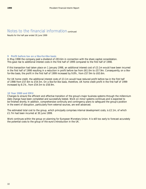### Notes to the financial information continued

Results for the half-year ended 30 June 1999

#### **9 Profit before tax on a like-for-like basis**

In May 1998 the company paid a dividend of £93.6m in connection with the share capital consolidation. This gave rise to additional interest costs in the first half of 1999 compared to the first half of 1998.

If this transaction had taken place on 1 January 1998, an additional interest cost of £3.1m would have been incurred in the first half of 1998 resulting in a reduction in profit before tax from £61.0m to £57.9m. Consequently, on a likefor-like basis, the profit in the first half of 1999 increased by 9.8%, from £57.9m to £63.6m.

For UK home credit, the additional interest costs of £3.1m would have reduced profit before tax in the first half of 1998 from £57.6m to £54.5m. On a like-for-like basis, therefore, UK home credit profit in the first half of 1999 increased by 8.1%, from £54.5m to £58.9m.

#### **10 Year 2000 and EMU**

Changes to ensure the efficient and effective transition of the group's major business systems through the millennium date change have been completed and successfully tested. Work on minor systems continues and is expected to be finished shortly. In addition, comprehensive continuity and contingency plans to safeguard the group's position in the event of disruption, particularly from external sources, are well advanced.

The estimated total cost to the group, which principally comprises internal development costs, is £2.1m, of which £1.7m had been incurred at 30 June 1999.

Work continues within the group on planning for European Monetary Union. It is still too early to forecast accurately the potential costs to the group of the euro's introduction in the UK.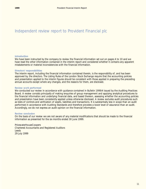## Independent review report to Provident Financial plc

#### **Introduction**

We have been instructed by the company to review the financial information set out on pages 4 to 10 and we have read the other information contained in the interim report and considered whether it contains any apparent misstatements or material inconsistencies with the financial information.

#### **Directors' responsibilities**

The interim report, including the financial information contained therein, is the responsibility of, and has been approved by, the directors. The Listing Rules of the London Stock Exchange require that the accounting policies and presentation applied to the interim figures should be consistent with those applied in preparing the preceding annual accounts except where any changes, and the reasons for them, are disclosed.

#### **Review work performed**

We conducted our review in accordance with guidance contained in Bulletin 1999/4 issued by the Auditing Practices Board. A review consists principally of making enquiries of group management and applying analytical procedures to the financial information and underlying financial data, and based thereon, assessing whether the accounting policies and presentation have been consistently applied unless otherwise disclosed. A review excludes audit procedures such as tests of controls and verification of assets, liabilities and transactions. It is substantially less in scope than an audit performed in accordance with Auditing Standards and therefore provides a lower level of assurance than an audit. Accordingly, we do not express an audit opinion on the financial information.

#### **Review conclusion**

On the basis of our review we are not aware of any material modifications that should be made to the financial information as presented for the six months ended 30 June 1999.

PricewaterhouseCoopers Chartered Accountants and Registered Auditors Leeds 29 July 1999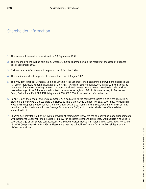## Shareholder information

- **1** The shares will be marked ex-dividend on 20 September 1999.
- **2** The interim dividend will be paid on 20 October 1999 to shareholders on the register at the close of business on 24 September 1999.
- **3** Dividend warrants/vouchers will be posted on 18 October 1999.
- **4** The interim report will be posted to shareholders on 12 August 1999.
- **5** The Provident Financial Company Nominee Scheme ("the Scheme") enables shareholders who are eligible to use it, namely individuals, to take advantage of the CREST system for settling transactions in shares in the company by means of a low-cost dealing service. It includes a dividend reinvestment scheme. Shareholders who wish to take advantage of the Scheme should contact the company's registrar, IRG plc, Bourne House, 34 Beckenham Road, Beckenham, Kent BR3 4TU (telephone: 0208 639 2000) to request an information pack.
- **6** In April 1999, the general and single company PEPs dedicated to the company's shares which were operated by Bradford & Bingley PEPs Limited were transferred to The Share Centre Limited, PO Box 1000, Tring, Hertfordshire HP23 5AN (telephone: 0800 800008). It is no longer possible to make a further subscription into a PEP but it is possible to subscribe to an Individual Savings Account ("an ISA") which confers similar benefits in relation to shares held in it.
- **7** Shareholders may take out an ISA with a provider of their choice. However, the company has made arrangements with Redmayne Bentley for the provision of an ISA for its shareholders and employees. Shareholders who wish to take advantage of this should contact Redmayne Bentley, Merton House, 84 Albion Street, Leeds, West Yorkshire LS1 6AG (telephone: 0113 243 6941). Please note that the suitability of an ISA for an individual depends on his/her tax position.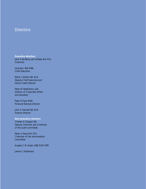### **Directors**

**Executive directors** John P de Blocq van Kuffeler MA FCA Chairman

Howard J Bell MBA Chief Executive

Robin J Ashton BA ACA Deputy Chief Executive and Home Credit Director

Peter W Bretherton LLM Director of Corporate Affairs and Secretary

Peter R Fryer MBA Financial Services Director

John A Harnett BA ACA Finance Director

**Non-executive directors** Charles H Gregson BA Deputy Chairman and Chairman of the audit committee

Peter A Davis MA FCA Chairman of the remuneration committee

Angela C M Heylin OBE FCIM FIPR

James C Hodkinson